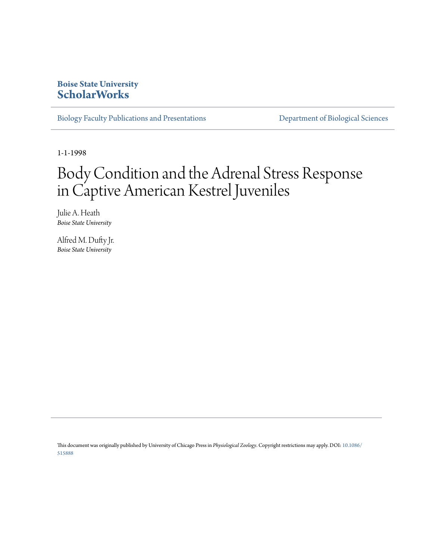### **Boise State University [ScholarWorks](https://scholarworks.boisestate.edu)**

[Biology Faculty Publications and Presentations](https://scholarworks.boisestate.edu/bio_facpubs) **[Department of Biological Sciences](https://scholarworks.boisestate.edu/biosciences)** 

1-1-1998

# Body Condition and the Adrenal Stress Response in Captive American Kestrel Juveniles

Julie A. Heath *Boise State University*

Alfred M. Dufty Jr. *Boise State University*

This document was originally published by University of Chicago Press in *Physiological Zoology*. Copyright restrictions may apply. DOI: [10.1086/](http://dx.doi.org/10.1086/515888) [515888](http://dx.doi.org/10.1086/515888)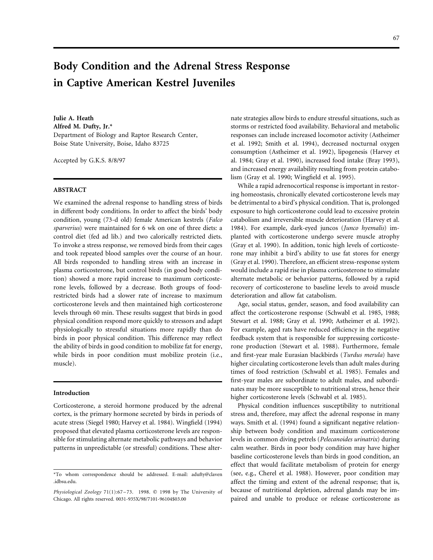## **Body Condition and the Adrenal Stress Response in Captive American Kestrel Juveniles**

We examined the adrenal response to handling stress of birds be detrimental to a bird's physical condition. That is, prolonged in different body conditions. In order to affect the birds' body exposure to high corticosterone could lead to excessive protein condition, young (73-d old) female American kestrels (*Falco* catabolism and irreversible muscle deterioration (Harvey et al. *sparverius*) were maintained for 6 wk on one of three diets: a 1984). For example, dark-eyed juncos (*Junco hyemalis*) imcontrol diet (fed ad lib.) and two calorically restricted diets. planted with corticosterone undergo severe muscle atrophy To invoke a stress response, we removed birds from their cages (Gray et al. 1990). In addition, tonic high levels of corticosteand took repeated blood samples over the course of an hour. rone may inhibit a bird's ability to use fat stores for energy All birds responded to handling stress with an increase in (Gray et al. 1990). Therefore, an efficient stress-response system plasma corticosterone, but control birds (in good body condi- would include a rapid rise in plasma corticosterone to stimulate tion) showed a more rapid increase to maximum corticoste- alternate metabolic or behavior patterns, followed by a rapid rone levels, followed by a decrease. Both groups of food- recovery of corticosterone to baseline levels to avoid muscle restricted birds had a slower rate of increase to maximum deterioration and allow fat catabolism. corticosterone levels and then maintained high corticosterone Age, social status, gender, season, and food availability can levels through 60 min. These results suggest that birds in good affect the corticosterone response (Schwabl et al. 1985, 1988; physical condition respond more quickly to stressors and adapt Stewart et al. 1988; Gray et al. 1990; Astheimer et al. 1992). physiologically to stressful situations more rapidly than do For example, aged rats have reduced efficiency in the negative birds in poor physical condition. This difference may reflect feedback system that is responsible for suppressing corticostethe ability of birds in good condition to mobilize fat for energy, rone production (Stewart et al. 1988). Furthermore, female while birds in poor condition must mobilize protein (i.e., and first-year male Eurasian blackbirds (*Turdus merula*) have muscle). higher circulating corticosterone levels than adult males during

cortex, is the primary hormone secreted by birds in periods of stress and, therefore, may affect the adrenal response in many acute stress (Siegel 1980; Harvey et al. 1984). Wingfield (1994) ways. Smith et al. (1994) found a significant negative relationproposed that elevated plasma corticosterone levels are respon- ship between body condition and maximum corticosterone sible for stimulating alternate metabolic pathways and behavior levels in common diving petrels (*Pelecanoides urinatrix*) during patterns in unpredictable (or stressful) conditions. These alter- calm weather. Birds in poor body condition may have higher

**Julie A. Heath nate strategies allow birds to endure stressful situations, such as** nate strategies allow birds to endure stressful situations, such as **Alfred M. Dufty, Jr.\*** storms or restricted food availability. Behavioral and metabolic Department of Biology and Raptor Research Center, responses can include increased locomotor activity (Astheimer Boise State University, Boise, Idaho 83725 et al. 1992; Smith et al. 1994), decreased nocturnal oxygen consumption (Astheimer et al. 1992), lipogenesis (Harvey et Accepted by G.K.S. 8/8/97 **al. 1984; Gray et al. 1990**), increased food intake (Bray 1993), and increased energy availability resulting from protein catabolism (Gray et al. 1990; Wingfield et al. 1995).

While a rapid adrenocortical response is important in restor-<br>ing homeostasis, chronically elevated corticosterone levels may

times of food restriction (Schwabl et al. 1985). Females and first-year males are subordinate to adult males, and subordi-**Introduction**<br>Introduction higher corticosterone levels (Schwabl et al. 1985).

Corticosterone, a steroid hormone produced by the adrenal Physical condition influences susceptibility to nutritional baseline corticosterone levels than birds in good condition, an effect that would facilitate metabolism of protein for energy \*To whom correspondence should be addressed. E-mail: adufty@claven (see, e.g., Cherel et al. 1988). However, poor condition may .idbsu.edu. affect the timing and extent of the adrenal response; that is, *Physiological Zoology* 71(1):67-73. 1998.  $\circledcirc$  1998 by The University of because of nutritional depletion, adrenal glands may be im-Chicago. All rights reserved. 0031-935X/98/7101-96104\$03.00 paired and unable to produce or release corticosterone as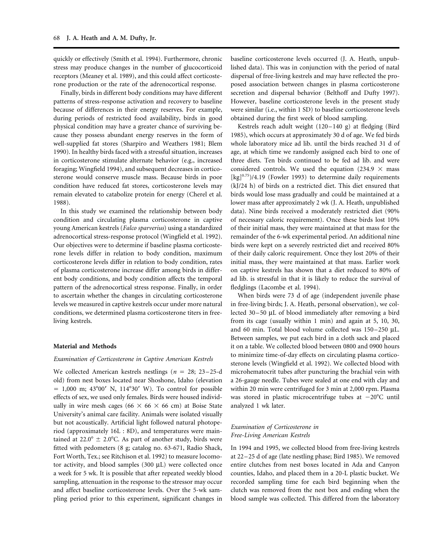quickly or effectively (Smith et al. 1994). Furthermore, chronic baseline corticosterone levels occurred (J. A. Heath, unpubstress may produce changes in the number of glucocorticoid lished data). This was in conjunction with the period of natal receptors (Meaney et al. 1989), and this could affect corticoste- dispersal of free-living kestrels and may have reflected the pro-

patterns of stress-response activation and recovery to baseline However, baseline corticosterone levels in the present study because of differences in their energy reserves. For example, were similar (i.e., within 1 SD) to baseline corticosterone levels during periods of restricted food availability, birds in good obtained during the first week of blood sampling. physical condition may have a greater chance of surviving be- Kestrels reach adult weight (120–140 g) at fledging (Bird cause they possess abundant energy reserves in the form of 1985), which occurs at approximately 30 d of age. We fed birds well-supplied fat stores (Sharpiro and Weathers 1981; Blem whole laboratory mice ad lib. until the birds reached 31 d of 1990). In healthy birds faced with a stressful situation, increases age, at which time we randomly assigned each bird to one of in corticosterone stimulate alternate behavior (e.g., increased three diets. Ten birds continued to be fed ad lib. and were foraging; Wingfield 1994), and subsequent decreases in cortico- considered controls. We used the equation (234.9  $\times$  mass sterone would conserve muscle mass. Because birds in poor  $[kg]^{0.75}/4.19$  (Fowler 1993) to determine daily requirements condition have reduced fat stores, corticosterone levels may (kJ/24 h) of birds on a restricted diet. This diet ensured that remain elevated to catabolize protein for energy (Cherel et al. birds would lose mass gradually and could be maintained at a 1988). lower mass after approximately 2 wk (J. A. Heath, unpublished

pattern of the adrenocortical stress response. Finally, in order fledglings (Lacombe et al. 1994). to ascertain whether the changes in circulating corticosterone When birds were 73 d of age (independent juvenile phase

old) from nest boxes located near Shoshone, Idaho (elevation a 26-gauge needle. Tubes were sealed at one end with clay and  $= 1,000$  m;  $43^{\circ}00'$  N,  $114^{\circ}30'$  W). To control for possible within 20 min were centrifuged for 3 min at 2,000 rpm. Plasma effects of sex, we used only females. Birds were housed individ- was stored in plastic microcentrifuge tubes at  $-20^{\circ}C$  until ually in wire mesh cages (66  $\times$  66  $\times$  66 cm) at Boise State analyzed 1 wk later. University's animal care facility. Animals were isolated visually but not acoustically. Artificial light followed natural photope-<br>riod (approximately 16L : 8D), and temperatures were main-<br>tained at 22.0°  $\pm$  2.0°C. As part of another study, birds were<br>Free-Living American Kestrels fitted with pedometers (8 g; catalog no. 63-671, Radio Shack, In 1994 and 1995, we collected blood from free-living kestrels

rone production or the rate of the adrenocortical response. posed association between changes in plasma corticosterone Finally, birds in different body conditions may have different secretion and dispersal behavior (Belthoff and Dufty 1997).

In this study we examined the relationship between body data). Nine birds received a moderately restricted diet (90% condition and circulating plasma corticosterone in captive of necessary caloric requirement). Once these birds lost 10% young American kestrels (*Falco sparverius*) using a standardized of their initial mass, they were maintained at that mass for the adrenocortical stress-response protocol (Wingfield et al. 1992). remainder of the 6-wk experimental period. An additional nine Our objectives were to determine if baseline plasma corticoste- birds were kept on a severely restricted diet and received 80% rone levels differ in relation to body condition, maximum of their daily caloric requirement. Once they lost 20% of their corticosterone levels differ in relation to body condition, rates initial mass, they were maintained at that mass. Earlier work of plasma corticosterone increase differ among birds in differ- on captive kestrels has shown that a diet reduced to 80% of ent body conditions, and body condition affects the temporal ad lib. is stressful in that it is likely to reduce the survival of

levels we measured in captive kestrels occur under more natural in free-living birds; J. A. Heath, personal observation), we colconditions, we determined plasma corticosterone titers in free- lected  $30-50 \mu L$  of blood immediately after removing a bird living kestrels. from its cage (usually within 1 min) and again at 5, 10, 30, and 60 min. Total blood volume collected was 150-250 µL. Between samples, we put each bird in a cloth sack and placed **Material and Methods** it on a table. We collected blood between 0800 and 0900 hours to minimize time-of-day effects on circulating plasma cortico- *Examination of Corticosterone in Captive American Kestrels* sterone levels (Wingfield et al. 1992). We collected blood with We collected American kestrels nestlings ( $n = 28$ ; 23–25-d microhematocrit tubes after puncturing the brachial vein with

Fort Worth, Tex.; see Ritchison et al. 1992) to measure locomo- at 22–25 d of age (late nestling phase; Bird 1985). We removed tor activity, and blood samples  $(300 \mu L)$  were collected once entire clutches from nest boxes located in Ada and Canyon a week for 5 wk. It is possible that after repeated weekly blood counties, Idaho, and placed them in a 20-L plastic bucket. We sampling, attenuation in the response to the stressor may occur recorded sampling time for each bird beginning when the and affect baseline corticosterone levels. Over the 5-wk sam- clutch was removed from the nest box and ending when the pling period prior to this experiment, significant changes in blood sample was collected. This differed from the laboratory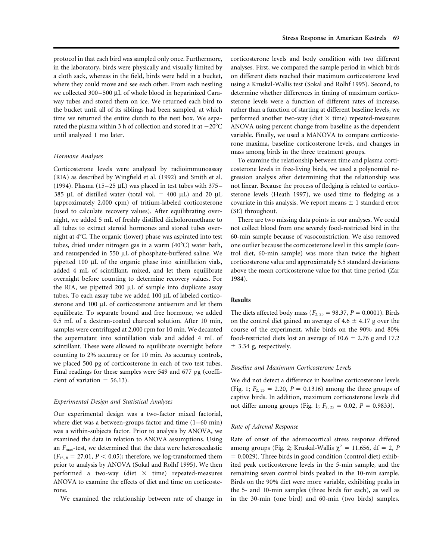protocol in that each bird was sampled only once. Furthermore, corticosterone levels and body condition with two different in the laboratory, birds were physically and visually limited by analyses. First, we compared the sample period in which birds a cloth sack, whereas in the field, birds were held in a bucket, on different diets reached their maximum corticosterone level where they could move and see each other. From each nestling using a Kruskal-Wallis test (Sokal and Rolhf 1995). Second, to we collected 300–500 µL of whole blood in heparinized Cara- determine whether differences in timing of maximum corticoway tubes and stored them on ice. We returned each bird to sterone levels were a function of different rates of increase, the bucket until all of its siblings had been sampled, at which rather than a function of starting at different baseline levels, we time we returned the entire clutch to the nest box. We sepa- performed another two-way (diet  $\times$  time) repeated-measures rated the plasma within 3 h of collection and stored it at  $-20^{\circ}C$  ANOVA using percent change from baseline as the dependent until analyzed 1 mo later. variable. Finally, we used a MANOVA to compare corticoste-

(RIA) as described by Wingfield et al. (1992) and Smith et al. gression analysis after determining that the relationship was (1994). Plasma (15–25  $\mu$ L) was placed in test tubes with 375– not linear. Because the process of fledging is related to cortico-385 µL of distilled water (total vol. = 400 µL) and 20 µL sterone levels (Heath 1997), we used time to fledging as a (approximately 2,000 cpm) of tritium-labeled corticosterone covariate in this analysis. We report means  $\pm$  1 standard error (used to calculate recovery values). After equilibrating over- (SE) throughout. night, we added 5 mL of freshly distilled dicholoromethane to There are two missing data points in our analyses. We could all tubes to extract steroid hormones and stored tubes over- not collect blood from one severely food-restricted bird in the night at 47C. The organic (lower) phase was aspirated into test 60-min sample because of vasoconstriction. We also removed tubes, dried under nitrogen gas in a warm (40°C) water bath, one outlier because the corticosterone level in this sample (conand resuspended in 550  $\mu$ L of phosphate-buffered saline. We trol diet, 60-min sample) was more than twice the highest pipetted 100 µL of the organic phase into scintillation vials, corticosterone value and approximately 5.5 standard deviations added 4 mL of scintillant, mixed, and let them equilibrate above the mean corticosterone value for that time period (Zar overnight before counting to determine recovery values. For 1984). the RIA, we pipetted 200  $\mu$ L of sample into duplicate assay tubes. To each assay tube we added 100  $\mu$ L of labeled cortico-<br>sterone and 100  $\mu$ L of corticosterone antiserum and let them equilibrate. To separate bound and free hormone, we added The diets affected body mass ( $F_{2, 25} = 98.37$ ,  $P = 0.0001$ ). Birds scintillant. These were allowed to equilibrate overnight before  $\pm$  3.34 g, respectively. counting to 2% accuracy or for 10 min. As accuracy controls, we placed 500 pg of corticosterone in each of two test tubes. *Baseline and Maximum Corticosterone Levels* Final readings for these samples were 549 and 677 pg (coefficient of variation = 56.13). We did not detect a difference in baseline corticosterone levels

Our experimental design was a two-factor mixed factorial, where diet was a between-groups factor and time (1–60 min) *Rate of Adrenal Response* was a within-subjects factor. Prior to analysis by ANOVA, we examined the data in relation to ANOVA assumptions. Using Rate of onset of the adrenocortical stress response differed

rone maxima, baseline corticosterone levels, and changes in mass among birds in the three treatment groups. *Hormone Analyses* To examine the relationship between time and plasma corti-

Corticosterone levels were analyzed by radioimmunoassay costerone levels in free-living birds, we used a polynomial re-

0.5 mL of a dextran-coated charcoal solution. After 10 min, on the control diet gained an average of  $4.6 \pm 4.17$  g over the samples were centrifuged at 2,000 rpm for 10 min. We decanted course of the experiment, while birds on the 90% and 80% the supernatant into scintillation vials and added 4 mL of food-restricted diets lost an average of  $10.6 \pm 2.76$  g and  $17.2$ 

(Fig. 1;  $F_{2, 25} = 2.20$ ,  $P = 0.1316$ ) among the three groups of *Experimental Design and Statistical Analyses* captive birds. In addition, maximum corticosterone levels did not differ among groups (Fig. 1; *F*<sub>2, 25</sub> = 0.02, *P* = 0.9833).

an  $F_{\text{max}}$ -test, we determined that the data were heteroscedastic among groups (Fig. 2; Kruskal-Wallis  $\chi^2 = 11.656$ , df = 2, *P*  $(F_{15, 8} = 27.01, P < 0.05)$ ; therefore, we log-transformed them  $= 0.0029$ ). Three birds in good condition (control diet) exhibprior to analysis by ANOVA (Sokal and Rolhf 1995). We then ited peak corticosterone levels in the 5-min sample, and the performed a two-way (diet  $\times$  time) repeated-measures remaining seven control birds peaked in the 10-min sample. ANOVA to examine the effects of diet and time on corticoste- Birds on the 90% diet were more variable, exhibiting peaks in rone. the 5- and 10-min samples (three birds for each), as well as We examined the relationship between rate of change in in the 30-min (one bird) and 60-min (two birds) samples.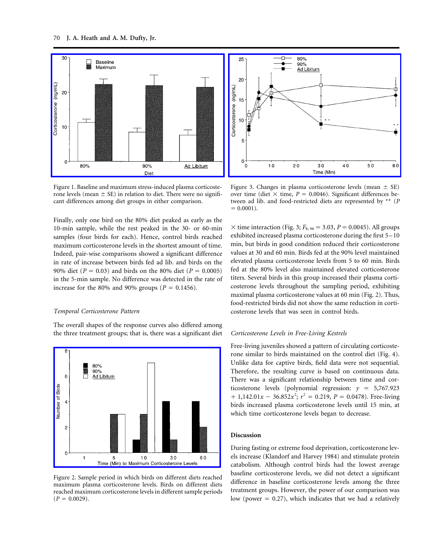

Finally, only one bird on the 80% diet peaked as early as the 10-min sample, while the rest peaked in the 30- or 60-min  $\times$  time interaction (Fig. 3;  $F_{8, 98} = 3.03$ ,  $P = 0.0045$ ). All groups samples (four birds for each). Hence, control birds reached exhibited increased plasma co maximum corticosterone levels in the shortest amount of time. 90% diet ( $P = 0.03$ ) and birds on the 80% diet ( $P = 0.0005$ ) in the 5-min sample. No difference was detected in the rate of titers. Several birds in this group increased their plasma corti-

The overall shapes of the response curves also differed among the three treatment groups; that is, there was a significant diet *Corticosterone Levels in Free-Living Kestrels*





Figure 1. Baseline and maximum stress-induced plasma corticoste- Figure 3. Changes in plasma corticosterone levels (mean  $\pm$  SE) rone levels (mean  $\pm$  SE) in relation to diet. There were no signifi- over time (diet  $\times$  time,  $P = 0.0046$ ). Significant differences becant differences among diet groups in either comparison. tween ad lib. and food-restricted diets are represented by \*\* (*P*  $= 0.0001$ .

samples (four birds for each). Hence, control birds reached exhibited increased plasma corticosterone during the first 5–10<br>maximum corticosterone levels in the shortest amount of time min, but birds in good condition redu Indeed, pair-wise comparisons showed a significant difference values at 30 and 60 min. Birds fed at the 90% level maintained in rate of increase between birds fed ad lib. and birds on the elevated plasma corticosterone levels from 5 to 60 min. Birds  $90\%$  diet ( $P = 0.03$ ) and birds on the 80% diet ( $P = 0.0005$ ) fed at the 80% level also mainta increase for the 80% and 90% groups ( $P = 0.1456$ ). costerone levels throughout the sampling period, exhibiting maximal plasma corticosterone values at 60 min (Fig. 2). Thus, food-restricted birds did not show the same reduction in corti-*Temporal Corticosterone Pattern* costerone levels that was seen in control birds.

Free-living juveniles showed a pattern of circulating corticosterone similar to birds maintained on the control diet (Fig. 4). Unlike data for captive birds, field data were not sequential. Therefore, the resulting curve is based on continuous data. There was a significant relationship between time and corticosterone levels (polynomial regression:  $y = 5,767.923$  $+ 1,142.01x - 36.852x^2$ ;  $r^2 = 0.219$ ,  $P = 0.0478$ ). Free-living birds increased plasma corticosterone levels until 15 min, at which time corticosterone levels began to decrease.

### **Discussion**

During fasting or extreme food deprivation, corticosterone levels increase (Klandorf and Harvey 1984) and stimulate protein catabolism. Although control birds had the lowest average Figure 2. Sample period in which birds on different diets reached<br>maximum plasma corticosterone levels. Birds on different diets<br>reached maximum corticosterone levels in different sample periods<br>reatment groups. However, low (power  $= 0.27$ ), which indicates that we had a relatively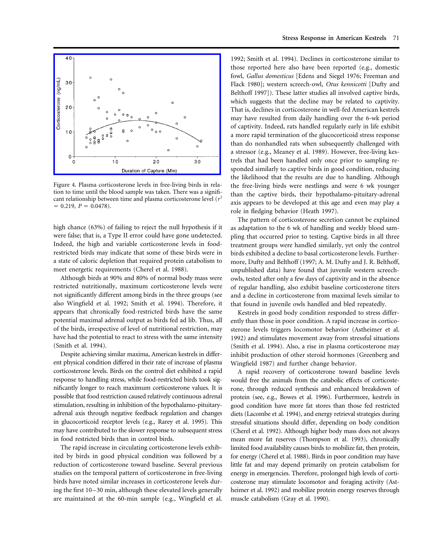

were false; that is, a Type II error could have gone undetected. pling that occurred prior to testing. Captive birds in all three Indeed, the high and variable corticosterone levels in food- treatment groups were handled similarly, yet only the control a state of caloric depletion that required protein catabolism to more, Dufty and Belthoff (1997; A. M. Dufty and J. R. Belthoff,

also Wingfield et al. 1992; Smith et al. 1994). Therefore, it that found in juvenile owls handled and bled repeatedly. appears that chronically food-restricted birds have the same Kestrels in good body condition responded to stress differ-

ent physical condition differed in their rate of increase of plasma Wingfield 1987) and further change behavior. corticosterone levels. Birds on the control diet exhibited a rapid A rapid recovery of corticosterone toward baseline levels

are maintained at the 60-min sample (e.g., Wingfield et al. muscle catabolism (Gray et al. 1990).

1992; Smith et al. 1994). Declines in corticosterone similar to those reported here also have been reported (e.g., domestic fowl, *Gallus domesticus* [Edens and Siegel 1976; Freeman and Flack 1980]; western screech-owl, *Otus kennicotti* [Dufty and Belthoff 1997]). These latter studies all involved captive birds, which suggests that the decline may be related to captivity. That is, declines in corticosterone in well-fed American kestrels may have resulted from daily handling over the 6-wk period of captivity. Indeed, rats handled regularly early in life exhibit a more rapid termination of the glucocorticoid stress response than do nonhandled rats when subsequently challenged with a stressor (e.g., Meaney et al. 1989). However, free-living kestrels that had been handled only once prior to sampling responded similarly to captive birds in good condition, reducing the likelihood that the results are due to handling. Although Figure 4. Plasma corticosterone levels in free-living birds in rela-<br>tion to time until the blood sample was taken. There was a signifi-<br>cant relationship between time and plasma corticosterone level  $(r^2$  axis appears to axis appears to be developed at this age and even may play a role in fledging behavior (Heath 1997).

The pattern of corticosterone secretion cannot be explained high chance (63%) of failing to reject the null hypothesis if it as adaptation to the 6 wk of handling and weekly blood sambirds exhibited a decline to basal corticosterone levels. Furthermeet energetic requirements (Cherel et al. 1988). unpublished data) have found that juvenile western screech-Although birds at 90% and 80% of normal body mass were owls, tested after only a few days of captivity and in the absence restricted nutritionally, maximum corticosterone levels were of regular handling, also exhibit baseline corticosterone titers not significantly different among birds in the three groups (see and a decline in corticosterone from maximal levels similar to

potential maximal adrenal output as birds fed ad lib. Thus, all ently than those in poor condition. A rapid increase in corticoof the birds, irrespective of level of nutritional restriction, may sterone levels triggers locomotor behavior (Astheimer et al. have had the potential to react to stress with the same intensity 1992) and stimulates movement away from stressful situations (Smith et al. 1994). (Smith et al. 1994). Also, a rise in plasma corticosterone may Despite achieving similar maxima, American kestrels in differ- inhibit production of other steroid hormones (Greenberg and

response to handling stress, while food-restricted birds took sig- would free the animals from the catabolic effects of corticostenificantly longer to reach maximum corticosterone values. It is rone, through reduced synthesis and enhanced breakdown of possible that food restriction caused relatively continuous adrenal protein (see, e.g., Bowes et al. 1996). Furthermore, kestrels in stimulation, resulting in inhibition of the hypothalamo-pituitary- good condition have more fat stores than those fed restricted adrenal axis through negative feedback regulation and changes diets (Lacombe et al. 1994), and energy retrieval strategies during in glucocorticoid receptor levels (e.g., Rarey et al. 1995). This stressful situations should differ, depending on body condition may have contributed to the slower response to subsequent stress (Cherel et al. 1992). Although higher body mass does not always in food restricted birds than in control birds. mean more fat reserves (Thompson et al. 1993), chronically The rapid increase in circulating corticosterone levels exhib- limited food availability causes birds to mobilize fat, then protein, ited by birds in good physical condition was followed by a for energy (Cherel et al. 1988). Birds in poor condition may have reduction of corticosterone toward baseline. Several previous little fat and may depend primarily on protein catabolism for studies on the temporal pattern of corticosterone in free-living energy in emergencies. Therefore, prolonged high levels of cortibirds have noted similar increases in corticosterone levels dur- costerone may stimulate locomotor and foraging activity (Asting the first 10–30 min, although these elevated levels generally heimer et al. 1992) and mobilize protein energy reserves through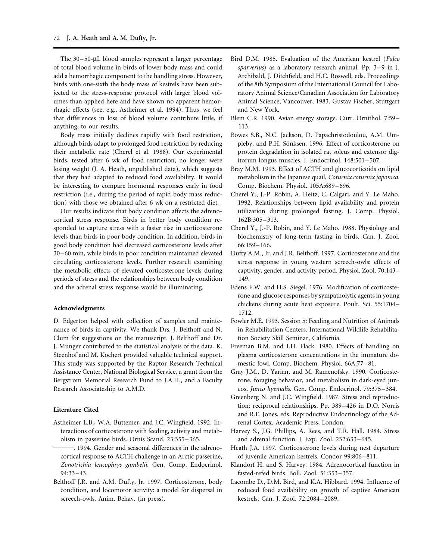rhagic effects (see, e.g., Astheimer et al. 1994). Thus, we feel and New York. that differences in loss of blood volume contribute little, if Blem C.R. 1990. Avian energy storage. Curr. Ornithol. 7:59– anything, to our results. 113.

Body mass initially declines rapidly with food restriction, Bowes S.B., N.C. Jackson, D. Papachristodoulou, A.M. Umbirds, tested after 6 wk of food restriction, no longer were itorum longus muscles. J. Endocrinol. 148:501–507. losing weight (J. A. Heath, unpublished data), which suggests Bray M.M. 1993. Effect of ACTH and glucocorticoids on lipid be interesting to compare hormonal responses early in food Comp. Biochem. Physiol. 105A:689–696. restriction (i.e., during the period of rapid body mass reduc- Cherel Y., J.-P. Robin, A. Heitz, C. Calgari, and Y. Le Maho.

cortical stress response. Birds in better body condition re- 162B:305–313. sponded to capture stress with a faster rise in corticosterone Cherel Y., J.-P. Robin, and Y. Le Maho. 1988. Physiology and good body condition had decreased corticosterone levels after 66:159-166. 30–60 min, while birds in poor condition maintained elevated Dufty A.M., Jr. and J.R. Belthoff. 1997. Corticosterone and the periods of stress and the relationships between body condition 149. and the adrenal stress response would be illuminating. Edens F.W. and H.S. Siegel. 1976. Modification of corticoste-

D. Edgerton helped with collection of samples and mainte- Fowler M.E. 1993. Session 5: Feeding and Nutrition of Animals nance of birds in captivity. We thank Drs. J. Belthoff and N. in Rehabilitation Centers. International Wildlife Rehabilita-Clum for suggestions on the manuscript. J. Belthoff and Dr. tion Society Skill Seminar, California. J. Munger contributed to the statistical analysis of the data. K. Freeman B.M. and I.H. Flack. 1980. Effects of handling on Steenhof and M. Kochert provided valuable technical support. plasma corticosterone concentrations in the immature do-This study was supported by the Raptor Research Technical mestic fowl. Comp. Biochem. Physiol. 66A:77–81. Assistance Center, National Biological Service, a grant from the Gray J.M., D. Yarian, and M. Ramenofsky. 1990. Corticoste-Bergstrom Memorial Research Fund to J.A.H., and a Faculty rone, foraging behavior, and metabolism in dark-eyed jun-Research Associateship to A.M.D. cos, *Junco hyemalis.* Gen. Comp. Endocrinol. 79:375–384.

- Astheimer L.B., W.A. Buttemer, and J.C. Wingfield. 1992. In- renal Cortex. Academic Press, London. olism in passerine birds. Ornis Scand. 23:355–365. and adrenal function. J. Exp. Zool. 232:633–645.
- cortical response to ACTH challenge in an Arctic passerine, of juvenile American kestrels. Condor 99:806–811. *Zonotrichia leucophrys gambelii.* Gen. Comp. Endocrinol. Klandorf H. and S. Harvey. 1984. Adrenocortical function in 94:33–43. fasted-refed birds. Boll. Zool. 51:353–357.
- Belthoff J.R. and A.M. Dufty, Jr. 1997. Corticosterone, body Lacombe D., D.M. Bird, and K.A. Hibbard. 1994. Influence of screech-owls. Anim. Behav. (in press). kestrels. Can. J. Zool. 72:2084–2089.
- The 30–50-µL blood samples represent a larger percentage Bird D.M. 1985. Evaluation of the American kestrel (*Falco* of total blood volume in birds of lower body mass and could *sparverius*) as a laboratory research animal. Pp. 3–9 in J. add a hemorrhagic component to the handling stress. However, Archibald, J. Ditchfield, and H.C. Roswell, eds. Proceedings birds with one-sixth the body mass of kestrels have been sub- of the 8th Symposium of the International Council for Labojected to the stress-response protocol with larger blood vol- ratory Animal Science/Canadian Association for Laboratory umes than applied here and have shown no apparent hemor- Animal Science, Vancouver, 1983. Gustav Fischer, Stuttgart
	-
- although birds adapt to prolonged food restriction by reducing pleby, and P.H. Sönksen. 1996. Effect of corticosterone on their metabolic rate (Cherel et al. 1988). Our experimental protein degradation in isolated rat soleus and extensor dig-
- that they had adapted to reduced food availability. It would metabolism in the Japanese quail, *Coturnix coturnix japonica.*
- tion) with those we obtained after 6 wk on a restricted diet. 1992. Relationships between lipid availability and protein Our results indicate that body condition affects the adreno- utilization during prolonged fasting. J. Comp. Physiol.
- levels than birds in poor body condition. In addition, birds in biochemistry of long-term fasting in birds. Can. J. Zool.
- circulating corticosterone levels. Further research examining stress response in young western screech-owls: effects of the metabolic effects of elevated corticosterone levels during captivity, gender, and activity period. Physiol. Zool. 70:143–
- rone and glucose responses by sympatholytic agents in young chickens during acute heat exposure. Poult. Sci. 55:1704– **Acknowledgments** 1712.
	-
	-
	-
- Greenberg N. and J.C. Wingfield. 1987. Stress and reproduc-**Literature Cited Literature Cited Literature Cited** and R.E. Jones, eds. Reproductive Endocrinology of the Ad
	- teractions of corticosterone with feeding, activity and metab- Harvey S., J.G. Phillips, A. Rees, and T.R. Hall. 1984. Stress
		- . 1994. Gender and seasonal differences in the adreno- Heath J.A. 1997. Corticosterone levels during nest departure
			-
	- condition, and locomotor activity: a model for dispersal in reduced food availability on growth of captive American